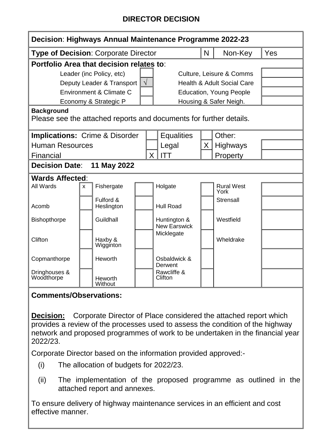## **DIRECTOR DECISION**

| Decision: Highways Annual Maintenance Programme 2022-23                                 |    |                         |  |              |                                       |   |                           |     |
|-----------------------------------------------------------------------------------------|----|-------------------------|--|--------------|---------------------------------------|---|---------------------------|-----|
| <b>Type of Decision: Corporate Director</b>                                             |    |                         |  |              |                                       | N | Non-Key                   | Yes |
| Portfolio Area that decision relates to:                                                |    |                         |  |              |                                       |   |                           |     |
| Leader (inc Policy, etc)                                                                |    |                         |  |              | <b>Culture, Leisure &amp; Comms</b>   |   |                           |     |
| Deputy Leader & Transport                                                               |    |                         |  |              | <b>Health &amp; Adult Social Care</b> |   |                           |     |
| Environment & Climate C                                                                 |    |                         |  |              | <b>Education, Young People</b>        |   |                           |     |
| Economy & Strategic P                                                                   |    |                         |  |              | Housing & Safer Neigh.                |   |                           |     |
| <b>Background</b><br>Please see the attached reports and documents for further details. |    |                         |  |              |                                       |   |                           |     |
| <b>Implications: Crime &amp; Disorder</b>                                               |    |                         |  |              | <b>Equalities</b>                     |   | Other:                    |     |
| <b>Human Resources</b>                                                                  |    |                         |  |              | Legal                                 | X | <b>Highways</b>           |     |
| Financial                                                                               |    |                         |  | $\mathsf{X}$ | ITT                                   |   | Property                  |     |
| 11 May 2022<br><b>Decision Date:</b>                                                    |    |                         |  |              |                                       |   |                           |     |
| <b>Wards Affected:</b>                                                                  |    |                         |  |              |                                       |   |                           |     |
| All Wards                                                                               | X. | Fishergate              |  |              | Holgate                               |   | <b>Rural West</b><br>York |     |
| Acomb                                                                                   |    | Fulford &<br>Heslington |  |              | <b>Hull Road</b>                      |   | Strensall                 |     |
| Bishopthorpe                                                                            |    | Guildhall               |  |              | Huntington &<br>New Earswick          |   | Westfield                 |     |
| Clifton                                                                                 |    | Haxby &<br>Wigginton    |  |              | Micklegate                            |   | Wheldrake                 |     |
| Copmanthorpe                                                                            |    | Heworth                 |  |              | Osbaldwick &<br>Derwent               |   |                           |     |
| Dringhouses &<br>Woodthorpe                                                             |    | Heworth<br>Without      |  |              | Rawcliffe &<br>Clifton                |   |                           |     |

## **Comments/Observations:**

**Decision:** Corporate Director of Place considered the attached report which provides a review of the processes used to assess the condition of the highway network and proposed programmes of work to be undertaken in the financial year 2022/23.

Corporate Director based on the information provided approved:-

- (i) The allocation of budgets for 2022/23.
- (ii) The implementation of the proposed programme as outlined in the attached report and annexes.

To ensure delivery of highway maintenance services in an efficient and cost effective manner.